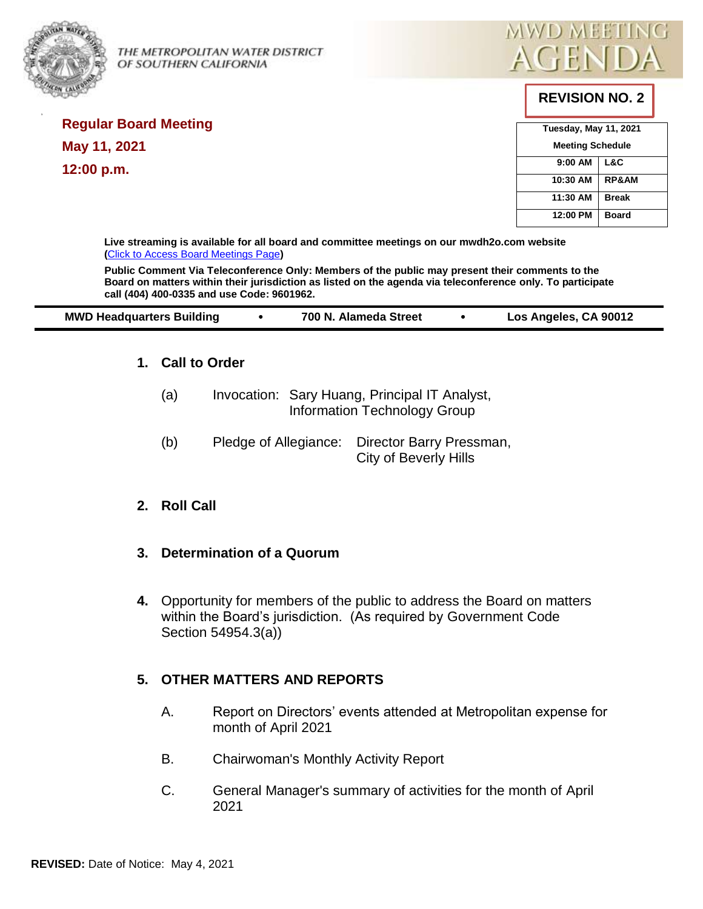

**Regular Board Meeting** 

**May 11, 2021** 

**12:00 p.m.** 

THE METROPOLITAN WATER DISTRICT  $\mathsf{AGEN}$ OF SOUTHERN CALIFORNIA



# **REVISION NO. 2**

| <b>Tuesday, May 11, 2021</b> |                  |  |
|------------------------------|------------------|--|
| <b>Meeting Schedule</b>      |                  |  |
| 9:00 AM                      | L&C              |  |
| 10:30 AM                     | <b>RP&amp;AM</b> |  |
| 11:30 AM                     | <b>Break</b>     |  |
| 12:00 PM                     | <b>Board</b>     |  |

**Live streaming is available for all board and committee meetings on our mwdh2o.com website (**[Click to Access Board Meetings Page](http://www.mwdh2o.com/WhoWeAre/Board/Board-Meeting/Pages/default.aspx)**)**

**Public Comment Via Teleconference Only: Members of the public may present their comments to the Board on matters within their jurisdiction as listed on the agenda via teleconference only. To participate call (404) 400-0335 and use Code: 9601962.**

| Los Angeles, CA 90012<br><b>MWD Headquarters Building</b><br>700 N. Alameda Street |
|------------------------------------------------------------------------------------|
|------------------------------------------------------------------------------------|

### **1. Call to Order**

| (a) | Invocation: Sary Huang, Principal IT Analyst, |
|-----|-----------------------------------------------|
|     | Information Technology Group                  |

(b) Pledge of Allegiance: Director Barry Pressman, City of Beverly Hills

### **2. Roll Call**

### **3. Determination of a Quorum**

**4.** Opportunity for members of the public to address the Board on matters within the Board's jurisdiction. (As required by Government Code Section 54954.3(a))

### **5. OTHER MATTERS AND REPORTS**

- A. Report on Directors' events attended at Metropolitan expense for month of April 2021
- B. Chairwoman's Monthly Activity Report
- C. General Manager's summary of activities for the month of April 2021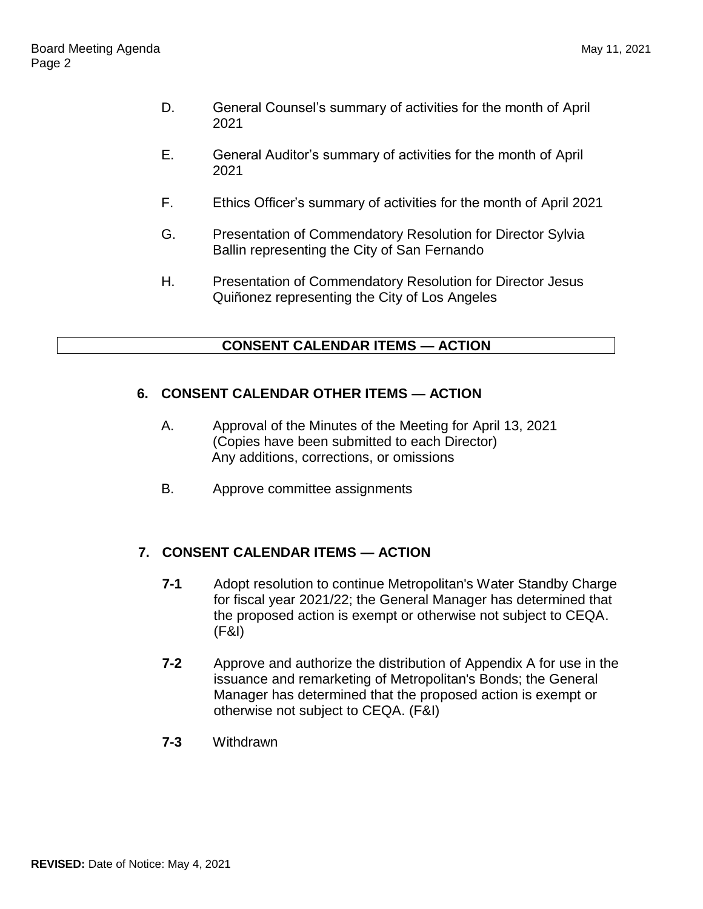- D. General Counsel's summary of activities for the month of April 2021
- E. General Auditor's summary of activities for the month of April 2021
- F. Ethics Officer's summary of activities for the month of April 2021
- G. Presentation of Commendatory Resolution for Director Sylvia Ballin representing the City of San Fernando
- H. Presentation of Commendatory Resolution for Director Jesus Quiñonez representing the City of Los Angeles

## **CONSENT CALENDAR ITEMS — ACTION**

### **6. CONSENT CALENDAR OTHER ITEMS — ACTION**

- A. Approval of the Minutes of the Meeting for April 13, 2021 (Copies have been submitted to each Director) Any additions, corrections, or omissions
- B. Approve committee assignments

## **7. CONSENT CALENDAR ITEMS — ACTION**

- **7-1** Adopt resolution to continue Metropolitan's Water Standby Charge for fiscal year 2021/22; the General Manager has determined that the proposed action is exempt or otherwise not subject to CEQA. (F&I)
- **7-2** Approve and authorize the distribution of Appendix A for use in the issuance and remarketing of Metropolitan's Bonds; the General Manager has determined that the proposed action is exempt or otherwise not subject to CEQA. (F&I)
- **7-3** Withdrawn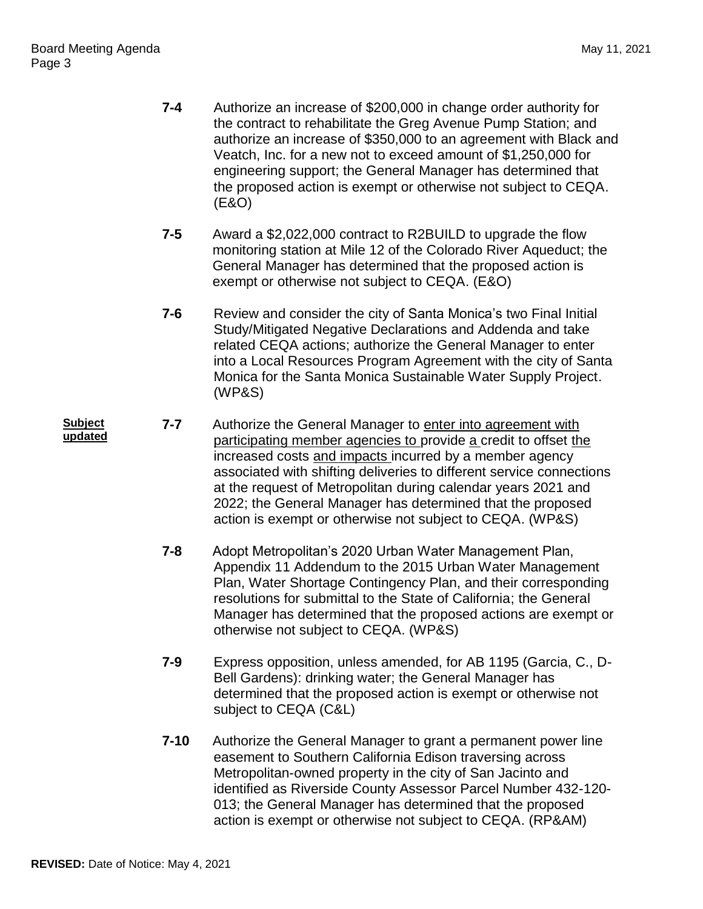- **7-4** Authorize an increase of \$200,000 in change order authority for the contract to rehabilitate the Greg Avenue Pump Station; and authorize an increase of \$350,000 to an agreement with Black and Veatch, Inc. for a new not to exceed amount of \$1,250,000 for engineering support; the General Manager has determined that the proposed action is exempt or otherwise not subject to CEQA. (E&O)
- **7-5** Award a \$2,022,000 contract to R2BUILD to upgrade the flow monitoring station at Mile 12 of the Colorado River Aqueduct; the General Manager has determined that the proposed action is exempt or otherwise not subject to CEQA. (E&O)
- **7-6** Review and consider the city of Santa Monica's two Final Initial Study/Mitigated Negative Declarations and Addenda and take related CEQA actions; authorize the General Manager to enter into a Local Resources Program Agreement with the city of Santa Monica for the Santa Monica Sustainable Water Supply Project. (WP&S)
- **Subject updated 7-7** Authorize the General Manager to enter into agreement with participating member agencies to provide a credit to offset the increased costs and impacts incurred by a member agency associated with shifting deliveries to different service connections at the request of Metropolitan during calendar years 2021 and 2022; the General Manager has determined that the proposed action is exempt or otherwise not subject to CEQA. (WP&S)
	- **7-8** Adopt Metropolitan's 2020 Urban Water Management Plan, Appendix 11 Addendum to the 2015 Urban Water Management Plan, Water Shortage Contingency Plan, and their corresponding resolutions for submittal to the State of California; the General Manager has determined that the proposed actions are exempt or otherwise not subject to CEQA. (WP&S)
	- **7-9** Express opposition, unless amended, for AB 1195 (Garcia, C., D-Bell Gardens): drinking water; the General Manager has determined that the proposed action is exempt or otherwise not subject to CEQA (C&L)
	- **7-10** Authorize the General Manager to grant a permanent power line easement to Southern California Edison traversing across Metropolitan-owned property in the city of San Jacinto and identified as Riverside County Assessor Parcel Number 432-120- 013; the General Manager has determined that the proposed action is exempt or otherwise not subject to CEQA. (RP&AM)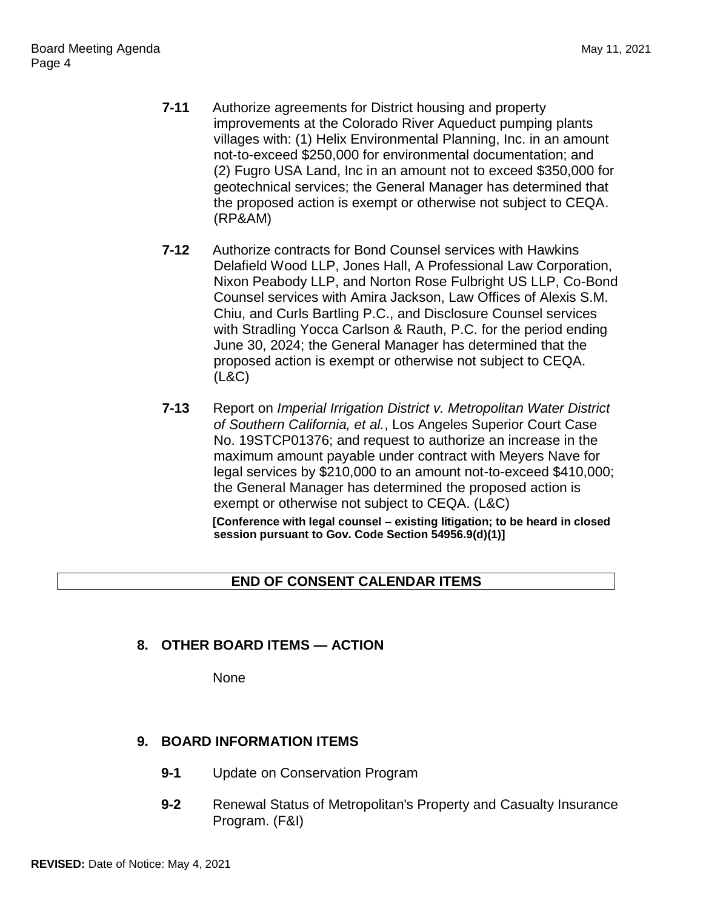- **7-11** Authorize agreements for District housing and property improvements at the Colorado River Aqueduct pumping plants villages with: (1) Helix Environmental Planning, Inc. in an amount not-to-exceed \$250,000 for environmental documentation; and (2) Fugro USA Land, Inc in an amount not to exceed \$350,000 for geotechnical services; the General Manager has determined that the proposed action is exempt or otherwise not subject to CEQA. (RP&AM)
- **7-12** Authorize contracts for Bond Counsel services with Hawkins Delafield Wood LLP, Jones Hall, A Professional Law Corporation, Nixon Peabody LLP, and Norton Rose Fulbright US LLP, Co-Bond Counsel services with Amira Jackson, Law Offices of Alexis S.M. Chiu, and Curls Bartling P.C., and Disclosure Counsel services with Stradling Yocca Carlson & Rauth, P.C. for the period ending June 30, 2024; the General Manager has determined that the proposed action is exempt or otherwise not subject to CEQA. (L&C)
- **7-13** Report on *Imperial Irrigation District v. Metropolitan Water District of Southern California, et al.*, Los Angeles Superior Court Case No. 19STCP01376; and request to authorize an increase in the maximum amount payable under contract with Meyers Nave for legal services by \$210,000 to an amount not-to-exceed \$410,000; the General Manager has determined the proposed action is exempt or otherwise not subject to CEQA. (L&C) **[Conference with legal counsel – existing litigation; to be heard in closed session pursuant to Gov. Code Section 54956.9(d)(1)]**

## **END OF CONSENT CALENDAR ITEMS**

## **8. OTHER BOARD ITEMS — ACTION**

None

## **9. BOARD INFORMATION ITEMS**

- **9-1** Update on Conservation Program
- **9-2** Renewal Status of Metropolitan's Property and Casualty Insurance Program. (F&I)